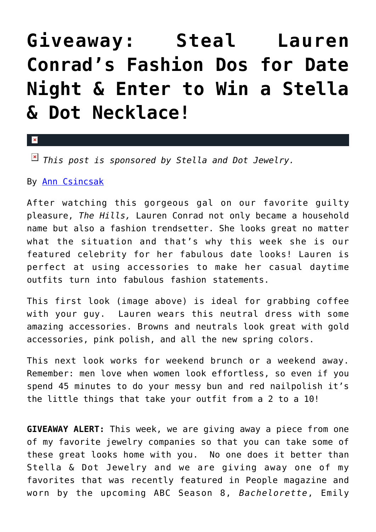## **[Giveaway: Steal Lauren](https://cupidspulse.com/28105/fashion-advice-lauren-conrads-date-outfits/) [Conrad's Fashion Dos for Date](https://cupidspulse.com/28105/fashion-advice-lauren-conrads-date-outfits/) [Night & Enter to Win a Stella](https://cupidspulse.com/28105/fashion-advice-lauren-conrads-date-outfits/) [& Dot Necklace!](https://cupidspulse.com/28105/fashion-advice-lauren-conrads-date-outfits/)**

## $\mathbf{x}$

*This post is sponsored by Stella and Dot Jewelry.*

## By [Ann Csincsak](http://cupidspulse.com/relationship-dating-experts/ann-csincsak-fashion-expert/)

After watching this gorgeous gal on our favorite guilty pleasure, *The Hills,* Lauren Conrad not only became a household name but also a fashion trendsetter. She looks great no matter what the situation and that's why this week she is our featured celebrity for her fabulous date looks! Lauren is perfect at using accessories to make her casual daytime outfits turn into fabulous fashion statements.

This first look (image above) is ideal for grabbing coffee with your guy. Lauren wears this neutral dress with some amazing accessories. Browns and neutrals look great with gold accessories, pink polish, and all the new spring colors.

This next look works for weekend brunch or a weekend away. Remember: men love when women look effortless, so even if you spend 45 minutes to do your messy bun and red nailpolish it's the little things that take your outfit from a 2 to a 10!

**GIVEAWAY ALERT:** This week, we are giving away a piece from one of my favorite jewelry companies so that you can take some of these great looks home with you. No one does it better than Stella & Dot Jewelry and we are giving away one of my favorites that was recently featured in People magazine and worn by the upcoming ABC Season 8, *Bachelorette*, Emily